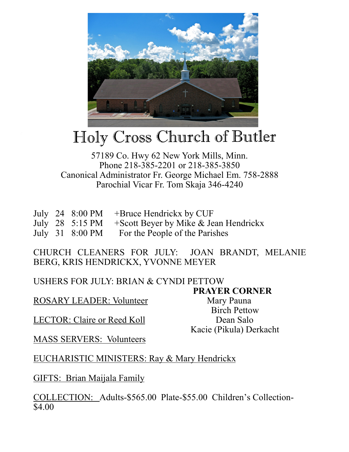

## Holy Cross Church of Butler

## 57189 Co. Hwy 62 New York Mills, Minn. Phone 218-385-2201 or 218-385-3850 Canonical Administrator Fr. George Michael Em. 758-2888 Parochial Vicar Fr. Tom Skaja 346-4240

|  | July 24 $8:00 \text{ PM}$ +Bruce Hendrickx by CUF        |
|--|----------------------------------------------------------|
|  | July 28 5:15 PM $+$ Scott Beyer by Mike & Jean Hendrickx |
|  | July 31 8:00 PM For the People of the Parishes           |

CHURCH CLEANERS FOR JULY: JOAN BRANDT, MELANIE BERG, KRIS HENDRICKX, YVONNE MEYER

USHERS FOR JULY: BRIAN & CYNDI PETTOW

**PRAYER CORNER** 

ROSARY LEADER: Volunteer Mary Pauna

LECTOR: Claire or Reed Koll Dean Salo

 Birch Pettow Kacie (Pikula) Derkacht

MASS SERVERS: Volunteers

EUCHARISTIC MINISTERS: Ray & Mary Hendrickx

GIFTS: Brian Maijala Family

COLLECTION: Adults-\$565.00 Plate-\$55.00 Children's Collection- \$4.00